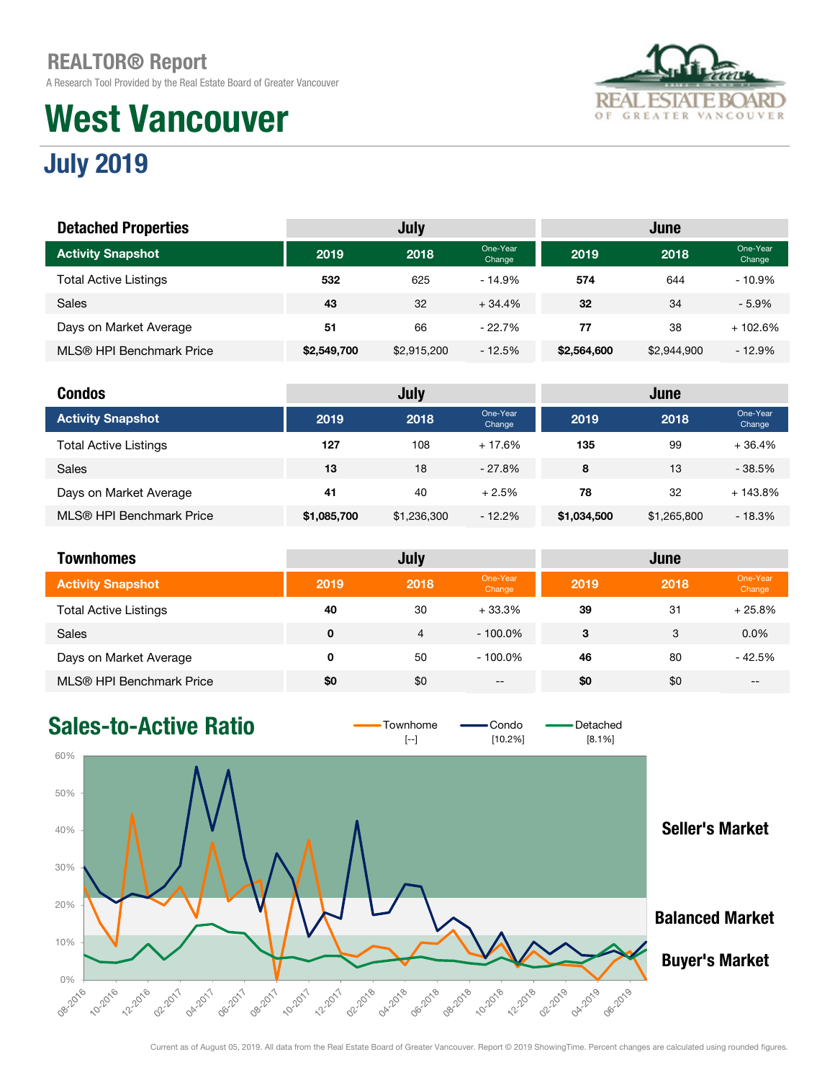A Research Tool Provided by the Real Estate Board of Greater Vancouver

# West Vancouver



## July 2019

| <b>Detached Properties</b>   |             | <b>July</b> |                    |             | June        |                    |
|------------------------------|-------------|-------------|--------------------|-------------|-------------|--------------------|
| <b>Activity Snapshot</b>     | 2019        | 2018        | One-Year<br>Change | 2019        | 2018        | One-Year<br>Change |
| <b>Total Active Listings</b> | 532         | 625         | $-14.9%$           | 574         | 644         | $-10.9%$           |
| Sales                        | 43          | 32          | $+34.4%$           | 32          | 34          | $-5.9%$            |
| Days on Market Average       | 51          | 66          | $-22.7%$           | 77          | 38          | + 102.6%           |
| MLS® HPI Benchmark Price     | \$2,549,700 | \$2,915,200 | $-12.5%$           | \$2,564,600 | \$2,944,900 | $-12.9%$           |

| <b>Condos</b>                |             | July        |                    |             | June        |                    |
|------------------------------|-------------|-------------|--------------------|-------------|-------------|--------------------|
| <b>Activity Snapshot</b>     | 2019        | 2018        | One-Year<br>Change | 2019        | 2018        | One-Year<br>Change |
| <b>Total Active Listings</b> | 127         | 108         | $+17.6%$           | 135         | 99          | $+36.4%$           |
| <b>Sales</b>                 | 13          | 18          | $-27.8%$           | 8           | 13          | $-38.5%$           |
| Days on Market Average       | 41          | 40          | $+2.5%$            | 78          | 32          | $+143.8\%$         |
| MLS® HPI Benchmark Price     | \$1,085,700 | \$1,236,300 | $-12.2%$           | \$1,034,500 | \$1,265,800 | $-18.3%$           |

| <b>Townhomes</b>             |      | July           |                    |      | June |                    |
|------------------------------|------|----------------|--------------------|------|------|--------------------|
| <b>Activity Snapshot</b>     | 2019 | 2018           | One-Year<br>Change | 2019 | 2018 | One-Year<br>Change |
| <b>Total Active Listings</b> | 40   | 30             | $+33.3%$           | 39   | 31   | $+25.8%$           |
| <b>Sales</b>                 | 0    | $\overline{4}$ | $-100.0\%$         | 3    | 3    | 0.0%               |
| Days on Market Average       | 0    | 50             | $-100.0\%$         | 46   | 80   | $-42.5%$           |
| MLS® HPI Benchmark Price     | \$0  | \$0            | $- -$              | \$0  | \$0  | --                 |

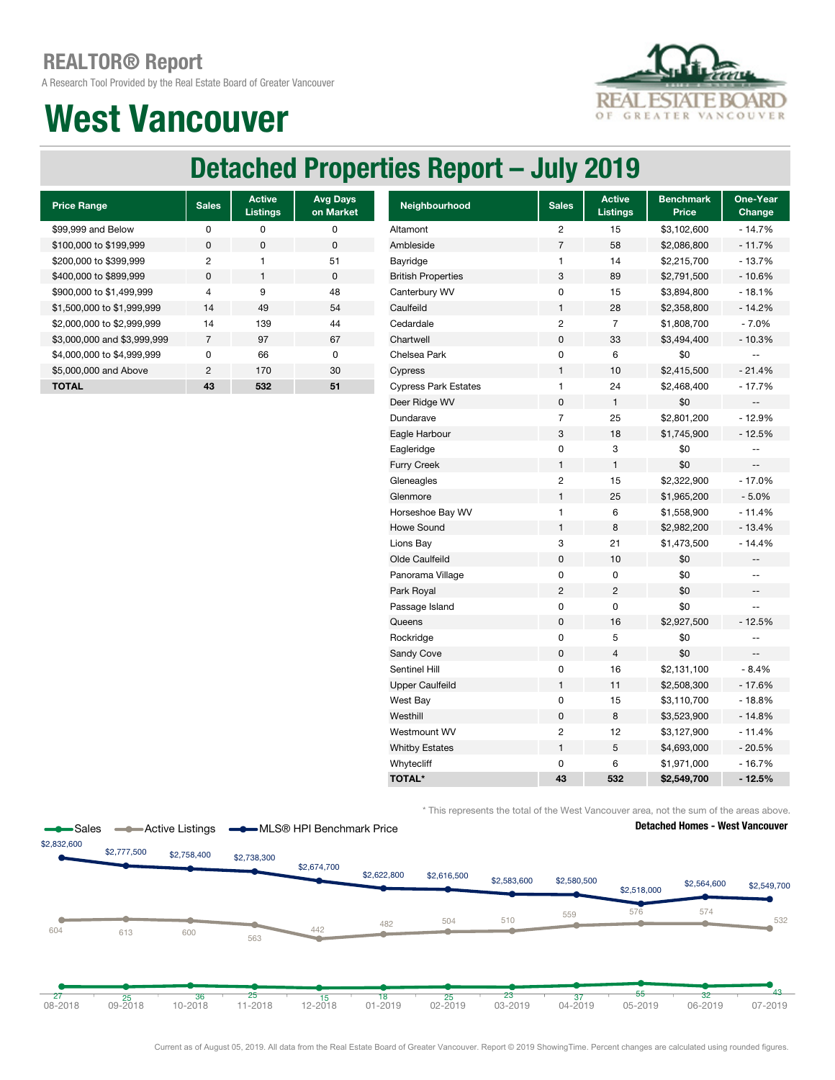A Research Tool Provided by the Real Estate Board of Greater Vancouver

## West Vancouver



## Detached Properties Report – July 2019

| <b>Price Range</b>          | <b>Sales</b>   | <b>Active</b><br><b>Listings</b> | <b>Avg Days</b><br>on Market |
|-----------------------------|----------------|----------------------------------|------------------------------|
| \$99,999 and Below          | O              | O                                | ŋ                            |
| \$100,000 to \$199,999      | $\Omega$       | <sup>0</sup>                     | $\Omega$                     |
| \$200,000 to \$399,999      | 2              |                                  | 51                           |
| \$400,000 to \$899,999      | $\Omega$       | 1                                | $\Omega$                     |
| \$900,000 to \$1,499,999    | 4              | 9                                | 48                           |
| \$1,500,000 to \$1,999,999  | 14             | 49                               | 54                           |
| \$2,000,000 to \$2,999,999  | 14             | 139                              | 44                           |
| \$3,000,000 and \$3,999,999 | 7              | 97                               | 67                           |
| \$4,000,000 to \$4,999,999  | U              | 66                               | <sup>0</sup>                 |
| \$5,000,000 and Above       | $\mathfrak{p}$ | 170                              | 30                           |
| <b>TOTAL</b>                | 43             | 532                              | 51                           |

| <b>Sales</b>   | <b>Active</b><br><b>Listings</b> | <b>Avg Days</b><br>on Market | Neighbourhood               | <b>Sales</b>   | <b>Active</b><br><b>Listings</b> | <b>Benchmark</b><br>Price | One-Year<br>Change       |
|----------------|----------------------------------|------------------------------|-----------------------------|----------------|----------------------------------|---------------------------|--------------------------|
| 0              | $\mathbf 0$                      | 0                            | Altamont                    | $\overline{c}$ | 15                               | \$3,102,600               | $-14.7%$                 |
| $\pmb{0}$      | $\pmb{0}$                        | $\pmb{0}$                    | Ambleside                   | $\overline{7}$ | 58                               | \$2,086,800               | $-11.7%$                 |
| $\sqrt{2}$     | $\mathbf{1}$                     | 51                           | Bayridge                    | $\mathbf{1}$   | 14                               | \$2,215,700               | $-13.7%$                 |
| $\pmb{0}$      | $\mathbf{1}$                     | $\pmb{0}$                    | <b>British Properties</b>   | 3              | 89                               | \$2,791,500               | $-10.6%$                 |
| $\overline{4}$ | 9                                | 48                           | Canterbury WV               | $\mathbf 0$    | 15                               | \$3,894,800               | $-18.1%$                 |
| 14             | 49                               | 54                           | Caulfeild                   | $\mathbf{1}$   | 28                               | \$2,358,800               | $-14.2%$                 |
| 14             | 139                              | 44                           | Cedardale                   | $\overline{c}$ | $\overline{7}$                   | \$1,808,700               | $-7.0%$                  |
| $\overline{7}$ | 97                               | 67                           | Chartwell                   | $\pmb{0}$      | 33                               | \$3,494,400               | $-10.3%$                 |
| 0              | 66                               | $\mathbf 0$                  | Chelsea Park                | $\mathbf 0$    | 6                                | \$0                       | $\overline{\phantom{m}}$ |
| $\overline{c}$ | 170                              | 30                           | Cypress                     | $\mathbf{1}$   | 10                               | \$2,415,500               | $-21.4%$                 |
| 43             | 532                              | 51                           | <b>Cypress Park Estates</b> | $\mathbf{1}$   | 24                               | \$2,468,400               | $-17.7%$                 |
|                |                                  |                              | Deer Ridge WV               | $\pmb{0}$      | $\mathbf{1}$                     | \$0                       |                          |
|                |                                  |                              | Dundarave                   | $\overline{7}$ | 25                               | \$2,801,200               | $-12.9%$                 |
|                |                                  |                              | Eagle Harbour               | 3              | 18                               | \$1,745,900               | $-12.5%$                 |
|                |                                  |                              | Eagleridge                  | $\pmb{0}$      | 3                                | \$0                       | $\overline{\phantom{a}}$ |
|                |                                  |                              | <b>Furry Creek</b>          | $\mathbf{1}$   | 1                                | \$0                       | $\qquad \qquad \cdots$   |
|                |                                  |                              | Gleneagles                  | $\overline{c}$ | 15                               | \$2,322,900               | - 17.0%                  |
|                |                                  |                              | Glenmore                    | $\mathbf{1}$   | 25                               | \$1,965,200               | $-5.0%$                  |
|                |                                  |                              | Horseshoe Bay WV            | $\mathbf{1}$   | 6                                | \$1,558,900               | $-11.4%$                 |
|                |                                  |                              | Howe Sound                  | $\mathbf{1}$   | 8                                | \$2,982,200               | $-13.4%$                 |
|                |                                  |                              | Lions Bay                   | 3              | 21                               | \$1,473,500               | $-14.4%$                 |
|                |                                  |                              | Olde Caulfeild              | $\pmb{0}$      | 10                               | \$0                       | $- \,$                   |
|                |                                  |                              | Panorama Village            | $\pmb{0}$      | 0                                | \$0                       | $\overline{\phantom{m}}$ |
|                |                                  |                              | Park Royal                  | $\overline{2}$ | $\overline{c}$                   | \$0                       | $\overline{\phantom{a}}$ |
|                |                                  |                              | Passage Island              | $\mathbf 0$    | 0                                | \$0                       | $\sim$                   |
|                |                                  |                              | Queens                      | $\mathbf 0$    | 16                               | \$2,927,500               | $-12.5%$                 |
|                |                                  |                              | Rockridge                   | $\pmb{0}$      | 5                                | \$0                       | $\overline{\phantom{a}}$ |
|                |                                  |                              | Sandy Cove                  | $\pmb{0}$      | $\overline{4}$                   | \$0                       | $\qquad \qquad -$        |
|                |                                  |                              | Sentinel Hill               | $\pmb{0}$      | 16                               | \$2,131,100               | $-8.4%$                  |
|                |                                  |                              | <b>Upper Caulfeild</b>      | $\mathbf{1}$   | 11                               | \$2,508,300               | $-17.6%$                 |
|                |                                  |                              | West Bay                    | $\pmb{0}$      | 15                               | \$3,110,700               | $-18.8%$                 |
|                |                                  |                              | Westhill                    | $\pmb{0}$      | 8                                | \$3,523,900               | $-14.8%$                 |
|                |                                  |                              | Westmount WV                | $\overline{c}$ | 12                               | \$3,127,900               | $-11.4%$                 |
|                |                                  |                              | <b>Whitby Estates</b>       | $\mathbf{1}$   | 5                                | \$4,693,000               | $-20.5%$                 |
|                |                                  |                              | Whytecliff                  | 0              | 6                                | \$1,971,000               | $-16.7%$                 |
|                |                                  |                              | <b>TOTAL*</b>               | 43             | 532                              | \$2,549,700               | $-12.5%$                 |
|                |                                  |                              |                             |                |                                  |                           |                          |

\* This represents the total of the West Vancouver area, not the sum of the areas above.

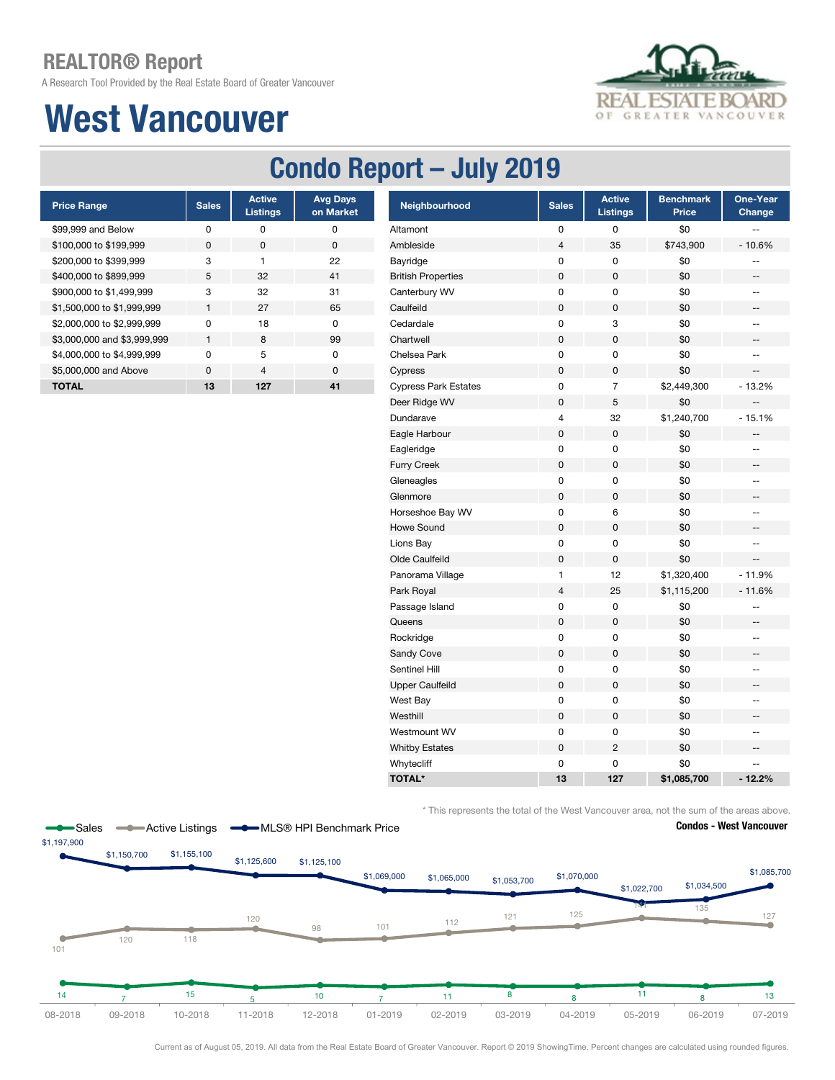A Research Tool Provided by the Real Estate Board of Greater Vancouver

## West Vancouver



### Condo Report – July 2019

| <b>Price Range</b>          | <b>Sales</b> | <b>Active</b><br><b>Listings</b> | <b>Avg Days</b><br>on Market |
|-----------------------------|--------------|----------------------------------|------------------------------|
| \$99,999 and Below          | ŋ            | O                                | O                            |
| \$100,000 to \$199,999      | <sup>0</sup> | n                                | <sup>0</sup>                 |
| \$200,000 to \$399,999      | 3            | 1                                | 22                           |
| \$400,000 to \$899,999      | 5            | 32                               | 41                           |
| \$900,000 to \$1,499,999    | 3            | 32                               | 31                           |
| \$1,500,000 to \$1,999,999  | 1            | 27                               | 65                           |
| \$2,000,000 to \$2,999,999  | ŋ            | 18                               | O                            |
| \$3,000,000 and \$3,999,999 | 1            | 8                                | 99                           |
| \$4,000,000 to \$4,999,999  | ŋ            | 5                                | O                            |
| \$5,000,000 and Above       | $\Omega$     | $\overline{4}$                   | $\Omega$                     |
| <b>TOTAL</b>                | 13           | 127                              | 41                           |
|                             |              |                                  |                              |

Sales **-C** Active Listings **-C** MLS® HPI Benchmark Price

| <b>Price Range</b>          | <b>Sales</b> | <b>Active</b><br><b>Listings</b> | <b>Avg Days</b><br>on Market | Neighbourhood               | <b>Sales</b>   | <b>Active</b><br><b>Listings</b> | <b>Benchmark</b><br>Price | One-Year<br>Change       |
|-----------------------------|--------------|----------------------------------|------------------------------|-----------------------------|----------------|----------------------------------|---------------------------|--------------------------|
| \$99,999 and Below          | 0            | $\pmb{0}$                        | 0                            | Altamont                    | 0              | 0                                | \$0                       | --                       |
| \$100,000 to \$199,999      | $\pmb{0}$    | 0                                | $\pmb{0}$                    | Ambleside                   | $\sqrt{4}$     | 35                               | \$743,900                 | $-10.6%$                 |
| \$200,000 to \$399,999      | 3            | 1                                | 22                           | Bayridge                    | 0              | 0                                | \$0                       | --                       |
| \$400,000 to \$899,999      | 5            | 32                               | 41                           | <b>British Properties</b>   | 0              | 0                                | \$0                       | --                       |
| \$900,000 to \$1,499,999    | 3            | 32                               | 31                           | Canterbury WV               | 0              | $\pmb{0}$                        | \$0                       | $\overline{\phantom{a}}$ |
| \$1,500,000 to \$1,999,999  | $\mathbf{1}$ | 27                               | 65                           | Caulfeild                   | $\pmb{0}$      | $\mathsf 0$                      | \$0                       | $\overline{\phantom{a}}$ |
| \$2,000,000 to \$2,999,999  | $\pmb{0}$    | 18                               | $\pmb{0}$                    | Cedardale                   | 0              | 3                                | \$0                       | $\overline{\phantom{a}}$ |
| \$3,000,000 and \$3,999,999 | $\mathbf{1}$ | 8                                | 99                           | Chartwell                   | $\pmb{0}$      | $\pmb{0}$                        | \$0                       | -−                       |
| \$4,000,000 to \$4,999,999  | $\pmb{0}$    | $\sqrt{5}$                       | $\pmb{0}$                    | Chelsea Park                | 0              | 0                                | \$0                       | $-$                      |
| \$5,000,000 and Above       | $\pmb{0}$    | $\overline{4}$                   | $\pmb{0}$                    | Cypress                     | $\pmb{0}$      | 0                                | \$0                       | $\overline{\phantom{a}}$ |
| <b>TOTAL</b>                | 13           | 127                              | 41                           | <b>Cypress Park Estates</b> | 0              | $\overline{7}$                   | \$2,449,300               | $-13.2%$                 |
|                             |              |                                  |                              | Deer Ridge WV               | $\pmb{0}$      | 5                                | \$0                       | $-$                      |
|                             |              |                                  |                              | Dundarave                   | 4              | 32                               | \$1,240,700               | $-15.1%$                 |
|                             |              |                                  |                              | Eagle Harbour               | $\mathsf 0$    | $\mathbf 0$                      | \$0                       | --                       |
|                             |              |                                  |                              | Eagleridge                  | 0              | 0                                | \$0                       | $\overline{\phantom{a}}$ |
|                             |              |                                  |                              | Furry Creek                 | $\pmb{0}$      | 0                                | \$0                       | --                       |
|                             |              |                                  |                              | Gleneagles                  | 0              | $\pmb{0}$                        | \$0                       | $-$                      |
|                             |              |                                  |                              | Glenmore                    | $\pmb{0}$      | $\mathbf 0$                      | \$0                       | ÷                        |
|                             |              |                                  |                              | Horseshoe Bay WV            | 0              | 6                                | \$0                       | $-$                      |
|                             |              |                                  |                              | <b>Howe Sound</b>           | 0              | 0                                | \$0                       | --                       |
|                             |              |                                  |                              | Lions Bay                   | 0              | 0                                | \$0                       | --                       |
|                             |              |                                  |                              | Olde Caulfeild              | 0              | $\pmb{0}$                        | \$0                       |                          |
|                             |              |                                  |                              | Panorama Village            | 1              | 12                               | \$1,320,400               | $-11.9%$                 |
|                             |              |                                  |                              | Park Royal                  | $\overline{4}$ | 25                               | \$1,115,200               | $-11.6%$                 |
|                             |              |                                  |                              | Passage Island              | 0              | 0                                | \$0                       | --                       |
|                             |              |                                  |                              | Queens                      | 0              | 0                                | \$0                       | --                       |
|                             |              |                                  |                              | Rockridge                   | 0              | 0                                | \$0                       | --                       |
|                             |              |                                  |                              | Sandy Cove                  | 0              | 0                                | \$0                       |                          |
|                             |              |                                  |                              | Sentinel Hill               | 0              | 0                                | \$0                       | $\overline{\phantom{a}}$ |
|                             |              |                                  |                              | <b>Upper Caulfeild</b>      | $\pmb{0}$      | $\mathsf 0$                      | \$0                       | --                       |
|                             |              |                                  |                              | West Bay                    | 0              | 0                                | \$0                       | $\overline{\phantom{a}}$ |
|                             |              |                                  |                              | Westhill                    | $\pmb{0}$      | $\mathsf 0$                      | \$0                       | $\overline{\phantom{a}}$ |
|                             |              |                                  |                              | Westmount WV                | 0              | 0                                | \$0                       | --                       |
|                             |              |                                  |                              | <b>Whitby Estates</b>       | $\pmb{0}$      | $\sqrt{2}$                       | \$0                       | --                       |
|                             |              |                                  |                              | Whytecliff                  | 0              | 0                                | \$0                       | --                       |
|                             |              |                                  |                              | <b>TOTAL*</b>               | 13             | 127                              | \$1,085,700               | $-12.2%$                 |

\* This represents the total of the West Vancouver area, not the sum of the areas above.





Current as of August 05, 2019. All data from the Real Estate Board of Greater Vancouver. Report © 2019 ShowingTime. Percent changes are calculated using rounded figures.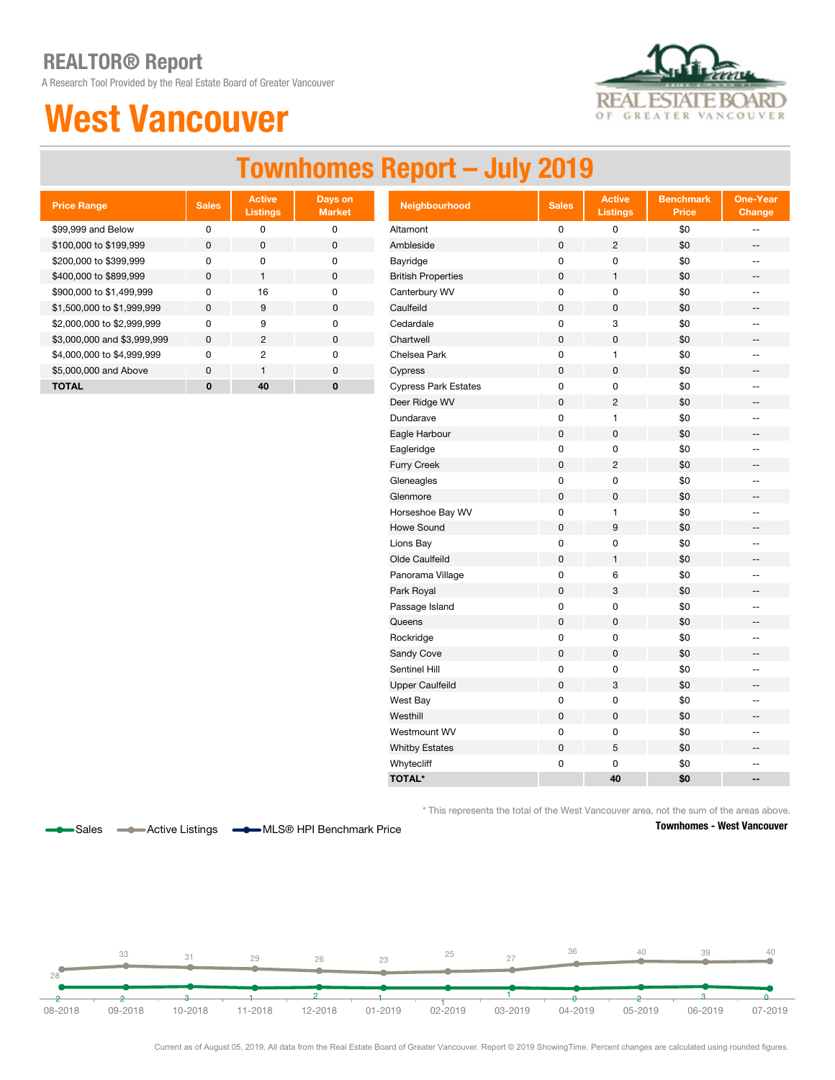A Research Tool Provided by the Real Estate Board of Greater Vancouver

## West Vancouver



#### Townhomes Report – July 2019

| <b>Price Range</b>          | <b>Sales</b> | <b>Active</b><br><b>Listings</b> | Days on<br><b>Market</b> |
|-----------------------------|--------------|----------------------------------|--------------------------|
| \$99,999 and Below          | ŋ            | O                                | ŋ                        |
| \$100,000 to \$199,999      | <sup>0</sup> | $\Omega$                         | $\Omega$                 |
| \$200,000 to \$399,999      | U            | U                                | O                        |
| \$400,000 to \$899,999      | <sup>0</sup> | 1                                | $\Omega$                 |
| \$900,000 to \$1,499,999    | ŋ            | 16                               | O                        |
| \$1,500,000 to \$1,999,999  | <sup>0</sup> | 9                                | $\Omega$                 |
| \$2,000,000 to \$2,999,999  | ŋ            | 9                                | ŋ                        |
| \$3,000,000 and \$3,999,999 | <sup>0</sup> | 2                                | ŋ                        |
| \$4,000,000 to \$4,999,999  | U            | 2                                | ŋ                        |
| \$5,000,000 and Above       | U            | 1                                | ŋ                        |
| TOTAL                       | O            | 40                               | Ω                        |

| <b>Price Range</b>          | <b>Sales</b> | <b>Active</b><br><b>Listings</b> | Days on<br><b>Market</b> | Neighbourhood               | <b>Sales</b> | <b>Active</b><br><b>Listings</b> | <b>Benchmark</b><br>Price | <b>One-Year</b><br>Change   |
|-----------------------------|--------------|----------------------------------|--------------------------|-----------------------------|--------------|----------------------------------|---------------------------|-----------------------------|
| \$99,999 and Below          | $\pmb{0}$    | $\pmb{0}$                        | $\pmb{0}$                | Altamont                    | $\pmb{0}$    | 0                                | \$0                       | $\overline{\phantom{a}}$    |
| \$100,000 to \$199,999      | $\mathbf 0$  | $\pmb{0}$                        | $\pmb{0}$                | Ambleside                   | $\mathsf 0$  | $\overline{c}$                   | \$0                       | $\overline{\phantom{a}}$    |
| \$200,000 to \$399,999      | $\pmb{0}$    | $\pmb{0}$                        | $\pmb{0}$                | Bayridge                    | $\pmb{0}$    | 0                                | \$0                       | $\overline{\phantom{a}}$    |
| \$400,000 to \$899,999      | $\pmb{0}$    | $\mathbf{1}$                     | $\pmb{0}$                | <b>British Properties</b>   | $\pmb{0}$    | $\mathbf{1}$                     | \$0                       | $\overline{\phantom{a}}$    |
| \$900,000 to \$1,499,999    | 0            | 16                               | 0                        | Canterbury WV               | $\mathsf 0$  | 0                                | \$0                       | $\overline{\phantom{a}}$    |
| \$1,500,000 to \$1,999,999  | $\mathsf 0$  | $9\,$                            | $\mathbf 0$              | Caulfeild                   | $\pmb{0}$    | 0                                | \$0                       | $\overline{\phantom{a}}$    |
| \$2,000,000 to \$2,999,999  | 0            | 9                                | $\mathbf 0$              | Cedardale                   | 0            | 3                                | \$0                       | $\overline{\phantom{a}}$    |
| \$3,000,000 and \$3,999,999 | $\pmb{0}$    | $\sqrt{2}$                       | $\pmb{0}$                | Chartwell                   | $\pmb{0}$    | $\mathsf{O}\xspace$              | \$0                       | $\qquad \qquad -$           |
| \$4,000,000 to \$4,999,999  | $\pmb{0}$    | $\overline{2}$                   | $\pmb{0}$                | Chelsea Park                | $\pmb{0}$    | $\mathbf{1}$                     | \$0                       | $\overline{\phantom{a}}$    |
| \$5,000,000 and Above       | $\pmb{0}$    | $\mathbf{1}$                     | $\pmb{0}$                | Cypress                     | $\pmb{0}$    | $\mathsf{O}\xspace$              | \$0                       | --                          |
| <b>TOTAL</b>                | $\bf{0}$     | 40                               | $\bf{0}$                 | <b>Cypress Park Estates</b> | $\pmb{0}$    | $\mathsf 0$                      | \$0                       | $\overline{\phantom{a}}$    |
|                             |              |                                  |                          | Deer Ridge WV               | $\pmb{0}$    | $\overline{2}$                   | \$0                       | $\overline{\phantom{a}}$    |
|                             |              |                                  |                          | Dundarave                   | $\pmb{0}$    | $\mathbf{1}$                     | \$0                       | $\sim$                      |
|                             |              |                                  |                          | Eagle Harbour               | $\pmb{0}$    | $\mathsf 0$                      | \$0                       | $\overline{\phantom{a}}$    |
|                             |              |                                  |                          | Eagleridge                  | $\pmb{0}$    | $\mathsf 0$                      | \$0                       | $\overline{\phantom{a}}$    |
|                             |              |                                  |                          | Furry Creek                 | $\pmb{0}$    | $\overline{c}$                   | \$0                       | $\overline{\phantom{a}}$    |
|                             |              |                                  |                          | Gleneagles                  | $\pmb{0}$    | $\mathsf 0$                      | \$0                       | $\overline{\phantom{a}}$    |
|                             |              |                                  |                          | Glenmore                    | $\pmb{0}$    | $\mathsf 0$                      | \$0                       | $\overline{\phantom{a}}$    |
|                             |              |                                  |                          | Horseshoe Bay WV            | $\pmb{0}$    | 1                                | \$0                       | $\overline{\phantom{a}}$    |
|                             |              |                                  |                          | <b>Howe Sound</b>           | $\pmb{0}$    | $\boldsymbol{9}$                 | \$0                       | $\overline{\phantom{a}}$    |
|                             |              |                                  |                          | Lions Bay                   | 0            | 0                                | \$0                       | $\overline{\phantom{a}}$    |
|                             |              |                                  |                          | Olde Caulfeild              | $\pmb{0}$    | $\mathbf{1}$                     | \$0                       | $\overline{\phantom{a}}$    |
|                             |              |                                  |                          | Panorama Village            | $\mathsf 0$  | 6                                | \$0                       | $\mathcal{L}_{\mathcal{F}}$ |
|                             |              |                                  |                          | Park Royal                  | $\pmb{0}$    | 3                                | \$0                       | $\overline{\phantom{a}}$    |
|                             |              |                                  |                          | Passage Island              | $\pmb{0}$    | 0                                | \$0                       | $\overline{\phantom{a}}$    |
|                             |              |                                  |                          | Queens                      | $\pmb{0}$    | 0                                | \$0                       | $\overline{\phantom{a}}$    |
|                             |              |                                  |                          | Rockridge                   | $\pmb{0}$    | 0                                | \$0                       | $\overline{\phantom{a}}$    |
|                             |              |                                  |                          | Sandy Cove                  | $\pmb{0}$    | 0                                | \$0                       | $\overline{\phantom{a}}$    |
|                             |              |                                  |                          | Sentinel Hill               | 0            | 0                                | \$0                       | $\overline{\phantom{a}}$    |
|                             |              |                                  |                          | <b>Upper Caulfeild</b>      | $\pmb{0}$    | $\ensuremath{\mathsf{3}}$        | \$0                       | $\overline{\phantom{a}}$    |
|                             |              |                                  |                          | West Bay                    | $\mathsf 0$  | 0                                | \$0                       | $\sim$                      |
|                             |              |                                  |                          | Westhill                    | $\pmb{0}$    | $\mathsf 0$                      | \$0                       | $\overline{\phantom{a}}$    |
|                             |              |                                  |                          | Westmount WV                | 0            | 0                                | \$0                       | $\overline{\phantom{a}}$    |
|                             |              |                                  |                          | <b>Whitby Estates</b>       | $\pmb{0}$    | 5                                | \$0                       | $\overline{\phantom{a}}$    |
|                             |              |                                  |                          | Whytecliff                  | $\mathbf 0$  | 0                                | \$0                       | $\sim$                      |
|                             |              |                                  |                          | <b>TOTAL*</b>               |              | 40                               | \$0                       | $\overline{\phantom{a}}$    |

\* This represents the total of the West Vancouver area, not the sum of the areas above.



Sales **-C** Active Listings **-C** MLS<sup>®</sup> HPI Benchmark Price